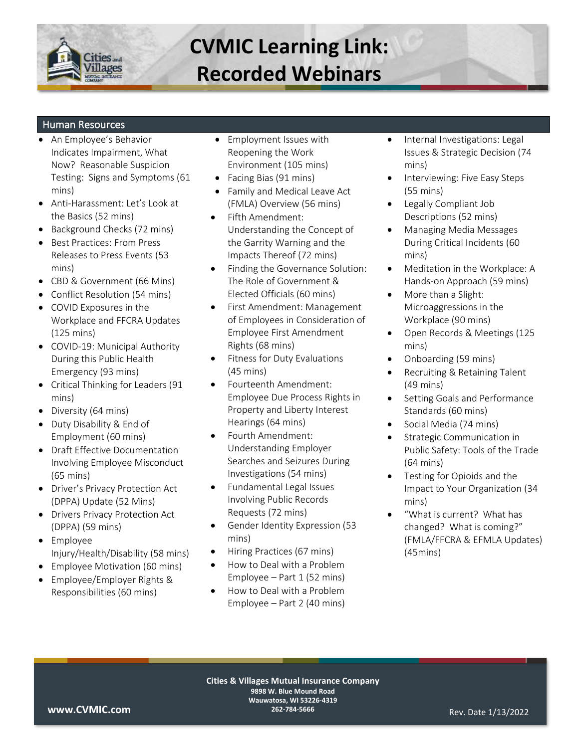

#### Human Resources

- An Employee's Behavior Indicates Impairment, What Now? Reasonable Suspicion Testing: Signs and Symptoms (61 mins)
- Anti-Harassment: Let's Look at the Basics (52 mins)
- Background Checks (72 mins)
- Best Practices: From Press Releases to Press Events (53 mins)
- CBD & Government (66 Mins)
- Conflict Resolution (54 mins)
- COVID Exposures in the Workplace and FFCRA Updates (125 mins)
- COVID-19: Municipal Authority During this Public Health Emergency (93 mins)
- Critical Thinking for Leaders (91 mins)
- Diversity (64 mins)
- Duty Disability & End of Employment (60 mins)
- Draft Effective Documentation Involving Employee Misconduct (65 mins)
- Driver's Privacy Protection Act (DPPA) Update (52 Mins)
- Drivers Privacy Protection Act (DPPA) (59 mins)
- Employee Injury/Health/Disability (58 mins)
- Employee Motivation (60 mins)
- Employee/Employer Rights & Responsibilities (60 mins)
- Employment Issues with Reopening the Work Environment (105 mins)
- Facing Bias (91 mins)
- Family and Medical Leave Act (FMLA) Overview (56 mins)
- Fifth Amendment: Understanding the Concept of the Garrity Warning and the Impacts Thereof (72 mins)
- Finding the Governance Solution: The Role of Government & Elected Officials (60 mins)
- First Amendment: Management of Employees in Consideration of Employee First Amendment Rights (68 mins)
- Fitness for Duty Evaluations (45 mins)
- Fourteenth Amendment: Employee Due Process Rights in Property and Liberty Interest Hearings (64 mins)
- Fourth Amendment: Understanding Employer Searches and Seizures During Investigations (54 mins)
- Fundamental Legal Issues Involving Public Records Requests (72 mins)
- Gender Identity Expression (53 mins)
- Hiring Practices (67 mins)
- How to Deal with a Problem Employee – Part 1 (52 mins)
- How to Deal with a Problem Employee – Part 2 (40 mins)
- Internal Investigations: Legal Issues & Strategic Decision (74 mins)
- Interviewing: Five Easy Steps (55 mins)
- Legally Compliant Job Descriptions (52 mins)
- Managing Media Messages During Critical Incidents (60 mins)
- Meditation in the Workplace: A Hands-on Approach (59 mins)
- More than a Slight: Microaggressions in the Workplace (90 mins)
- Open Records & Meetings (125 mins)
- Onboarding (59 mins)
- Recruiting & Retaining Talent (49 mins)
- Setting Goals and Performance Standards (60 mins)
- Social Media (74 mins)
- Strategic Communication in Public Safety: Tools of the Trade (64 mins)
- Testing for Opioids and the Impact to Your Organization (34 mins)
- "What is current? What has changed? What is coming?" (FMLA/FFCRA & EFMLA Updates) (45mins)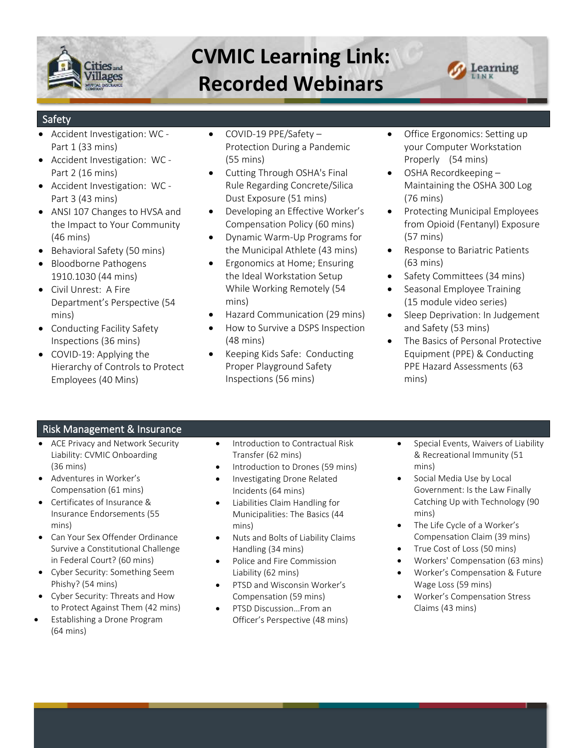



### Safety

- Accident Investigation: WC Part 1 (33 mins)
- Accident Investigation: WC Part 2 (16 mins)
- Accident Investigation: WC Part 3 (43 mins)
- ANSI 107 Changes to HVSA and the Impact to Your Community (46 mins)
- Behavioral Safety (50 mins)
- Bloodborne Pathogens 1910.1030 (44 mins)
- Civil Unrest: A Fire Department's Perspective (54 mins)
- Conducting Facility Safety Inspections (36 mins)
- COVID-19: Applying the Hierarchy of Controls to Protect Employees (40 Mins)
- COVID-19 PPE/Safety Protection During a Pandemic (55 mins)
- Cutting Through OSHA's Final Rule Regarding Concrete/Silica Dust Exposure (51 mins)
- Developing an Effective Worker's Compensation Policy (60 mins)
- Dynamic Warm-Up Programs for the Municipal Athlete (43 mins)
- Ergonomics at Home; Ensuring the Ideal Workstation Setup While Working Remotely (54 mins)
- Hazard Communication (29 mins)
- How to Survive a DSPS Inspection (48 mins)
- Keeping Kids Safe: Conducting Proper Playground Safety Inspections (56 mins)
- Office Ergonomics: Setting up your Computer Workstation Properly (54 mins)
- OSHA Recordkeeping Maintaining the OSHA 300 Log (76 mins)
- Protecting Municipal Employees from Opioid (Fentanyl) Exposure (57 mins)
- Response to Bariatric Patients (63 mins)
- Safety Committees (34 mins)
- Seasonal Employee Training (15 module video series)
- Sleep Deprivation: In Judgement and Safety (53 mins)
- The Basics of Personal Protective Equipment (PPE) & Conducting PPE Hazard Assessments (63 mins)

### Risk Management & Insurance

- ACE Privacy and Network Security Liability: CVMIC Onboarding (36 mins)
- Adventures in Worker's Compensation (61 mins)
- Certificates of Insurance & Insurance Endorsements (55 mins)
- Can Your Sex Offender Ordinance Survive a Constitutional Challenge in Federal Court? (60 mins)
- Cyber Security: Something Seem Phishy? (54 mins)
- Cyber Security: Threats and How to Protect Against Them (42 mins)
- Establishing a Drone Program (64 mins)
- Introduction to Contractual Risk Transfer (62 mins)
- Introduction to Drones (59 mins)
- Investigating Drone Related Incidents (64 mins)
- Liabilities Claim Handling for Municipalities: The Basics (44 mins)
- Nuts and Bolts of Liability Claims Handling (34 mins)
- Police and Fire Commission Liability (62 mins)
- PTSD and Wisconsin Worker's Compensation (59 mins)
- PTSD Discussion…From an Officer's Perspective (48 mins)
- Special Events, Waivers of Liability & Recreational Immunity (51 mins)
- Social Media Use by Local Government: Is the Law Finally Catching Up with Technology (90 mins)
- The Life Cycle of a Worker's Compensation Claim (39 mins)
- True Cost of Loss (50 mins)
- Workers' Compensation (63 mins)
- Worker's Compensation & Future Wage Loss (59 mins)
- Worker's Compensation Stress Claims (43 mins)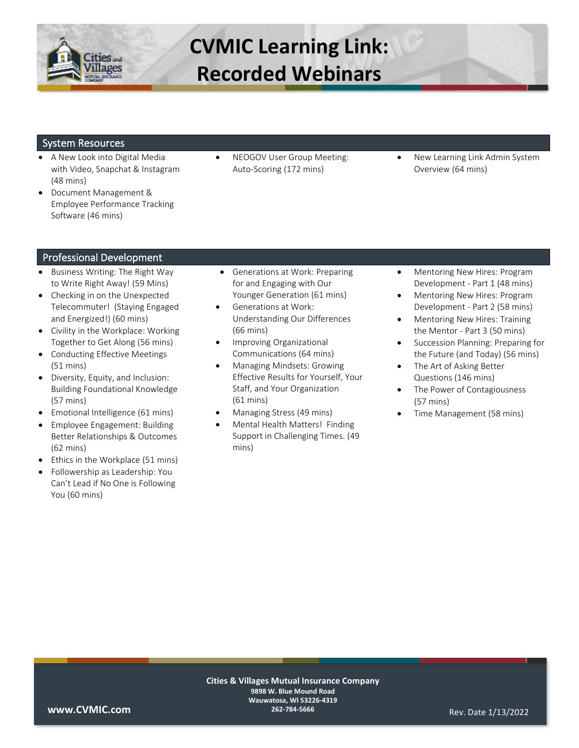

#### System Resources

- A New Look into Digital Media with Video, Snapchat & Instagram (48 mins)
- Document Management & Employee Performance Tracking Software (46 mins)
- NEOGOV User Group Meeting: Auto-Scoring (172 mins)
- New Learning Link Admin System Overview (64 mins)

#### Professional Development

- Business Writing: The Right Way to Write Right Away! (59 Mins)
- Checking in on the Unexpected Telecommuter! (Staying Engaged and Energized!) (60 mins)
- Civility in the Workplace: Working Together to Get Along (56 mins)
- Conducting Effective Meetings (51 mins)
- Diversity, Equity, and Inclusion: Building Foundational Knowledge (57 mins)
- Emotional Intelligence (61 mins)
- Employee Engagement: Building Better Relationships & Outcomes (62 mins)
- Ethics in the Workplace (51 mins)
- Followership as Leadership: You Can't Lead if No One is Following You (60 mins)
- Generations at Work: Preparing for and Engaging with Our Younger Generation (61 mins)
- Generations at Work: Understanding Our Differences (66 mins)
- Improving Organizational Communications (64 mins)
- Managing Mindsets: Growing Effective Results for Yourself, Your Staff, and Your Organization (61 mins)
- Managing Stress (49 mins)
- Mental Health Matters! Finding Support in Challenging Times. (49 mins)
- Mentoring New Hires: Program Development - Part 1 (48 mins)
- Mentoring New Hires: Program Development - Part 2 (58 mins)
- Mentoring New Hires: Training the Mentor - Part 3 (50 mins)
- Succession Planning: Preparing for the Future (and Today) (56 mins)
- The Art of Asking Better Questions (146 mins)
- The Power of Contagiousness (57 mins)
- Time Management (58 mins)